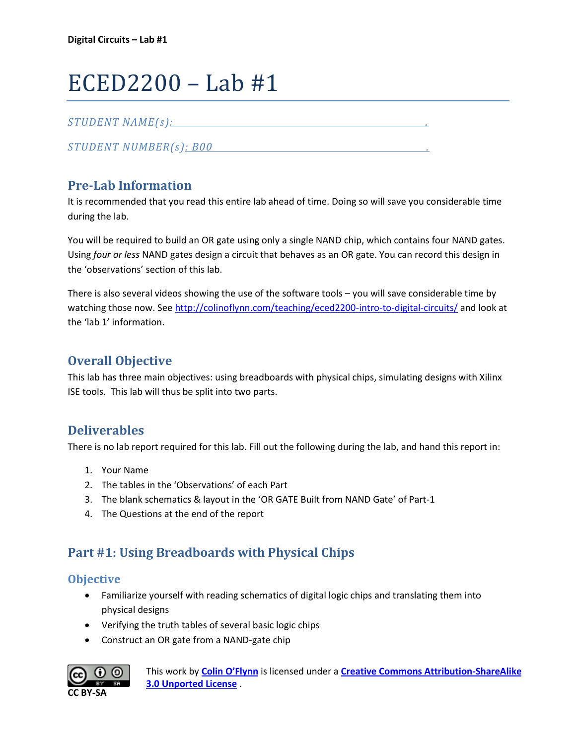# ECED2200 – Lab #1

## *STUDENT NAME(s): .*

*STUDENT NUMBER(s): B00 .* 

# **Pre-Lab Information**

It is recommended that you read this entire lab ahead of time. Doing so will save you considerable time during the lab.

You will be required to build an OR gate using only a single NAND chip, which contains four NAND gates. Using *four or less* NAND gates design a circuit that behaves as an OR gate. You can record this design in the 'observations' section of this lab.

There is also several videos showing the use of the software tools – you will save considerable time by watching those now. See<http://colinoflynn.com/teaching/eced2200-intro-to-digital-circuits/> and look at the 'lab 1' information.

# **Overall Objective**

This lab has three main objectives: using breadboards with physical chips, simulating designs with Xilinx ISE tools. This lab will thus be split into two parts.

## **Deliverables**

There is no lab report required for this lab. Fill out the following during the lab, and hand this report in:

- 1. Your Name
- 2. The tables in the 'Observations' of each Part
- 3. The blank schematics & layout in the 'OR GATE Built from NAND Gate' of Part-1
- 4. The Questions at the end of the report

# **Part #1: Using Breadboards with Physical Chips**

### **Objective**

- Familiarize yourself with reading schematics of digital logic chips and translating them into physical designs
- Verifying the truth tables of several basic logic chips
- Construct an OR gate from a NAND-gate chip

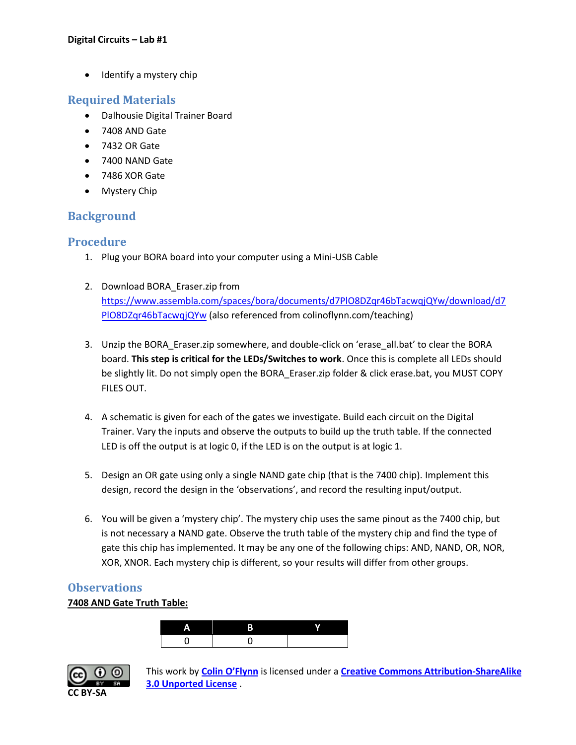• Identify a mystery chip

## **Required Materials**

- Dalhousie Digital Trainer Board
- 7408 AND Gate
- 7432 OR Gate
- 7400 NAND Gate
- 7486 XOR Gate
- Mystery Chip

## **Background**

## **Procedure**

- 1. Plug your BORA board into your computer using a Mini-USB Cable
- 2. Download BORA\_Eraser.zip from [https://www.assembla.com/spaces/bora/documents/d7PlO8DZqr46bTacwqjQYw/download/d7](https://www.assembla.com/spaces/bora/documents/d7PlO8DZqr46bTacwqjQYw/download/d7PlO8DZqr46bTacwqjQYw) PIO8DZqr46bTacwqjQYw (also referenced from colinoflynn.com/teaching)
- 3. Unzip the BORA\_Eraser.zip somewhere, and double-click on 'erase\_all.bat' to clear the BORA board. **This step is critical for the LEDs/Switches to work**. Once this is complete all LEDs should be slightly lit. Do not simply open the BORA Eraser.zip folder & click erase.bat, you MUST COPY FILES OUT.
- 4. A schematic is given for each of the gates we investigate. Build each circuit on the Digital Trainer. Vary the inputs and observe the outputs to build up the truth table. If the connected LED is off the output is at logic 0, if the LED is on the output is at logic 1.
- 5. Design an OR gate using only a single NAND gate chip (that is the 7400 chip). Implement this design, record the design in the 'observations', and record the resulting input/output.
- 6. You will be given a 'mystery chip'. The mystery chip uses the same pinout as the 7400 chip, but is not necessary a NAND gate. Observe the truth table of the mystery chip and find the type of gate this chip has implemented. It may be any one of the following chips: AND, NAND, OR, NOR, XOR, XNOR. Each mystery chip is different, so your results will differ from other groups.

## **Observations**

#### **7408 AND Gate Truth Table:**



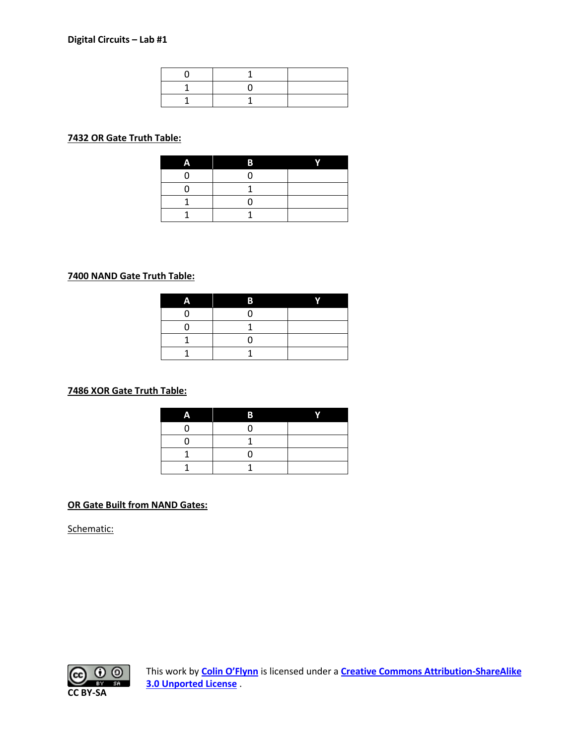#### **OR Gate Truth Table:**

| Λ | B | r |
|---|---|---|
|   |   |   |
|   |   |   |
|   |   |   |
|   |   |   |

#### **NAND Gate Truth Table:**

#### **XOR Gate Truth Table:**

| D |  |
|---|--|
|   |  |
|   |  |
|   |  |
|   |  |

#### **OR Gate Built from NAND Gates:**

Schematic:

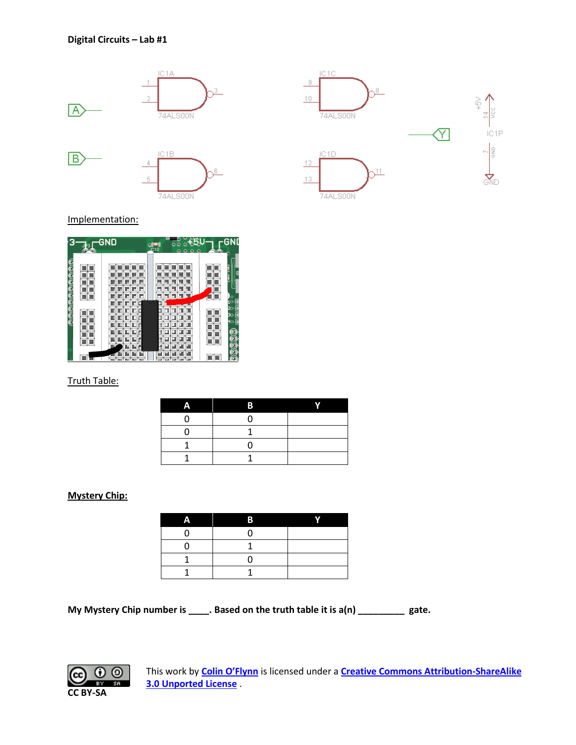



Implementation:

|        | <b>GND</b> | $\frac{d\mathbf{H}}{d\mathbf{10}}$<br>$\Omega$<br>$\Omega$<br>$\Omega$<br>$\bullet$<br>$\bullet$<br>െ | GND<br>$\circ$<br><b>YAN</b>                             |
|--------|------------|-------------------------------------------------------------------------------------------------------|----------------------------------------------------------|
| ī<br>ڇ |            |                                                                                                       | )。<br>1○<br>20 <sub>o</sub><br>3 <sub>o</sub><br>4o<br>a |

#### Truth Table:

#### **Mystery Chip:**

| R |  |
|---|--|
|   |  |
|   |  |
|   |  |
|   |  |

**My Mystery Chip number is \_\_\_\_. Based on the truth table it is a(n) \_\_\_\_\_\_\_\_\_ gate.**

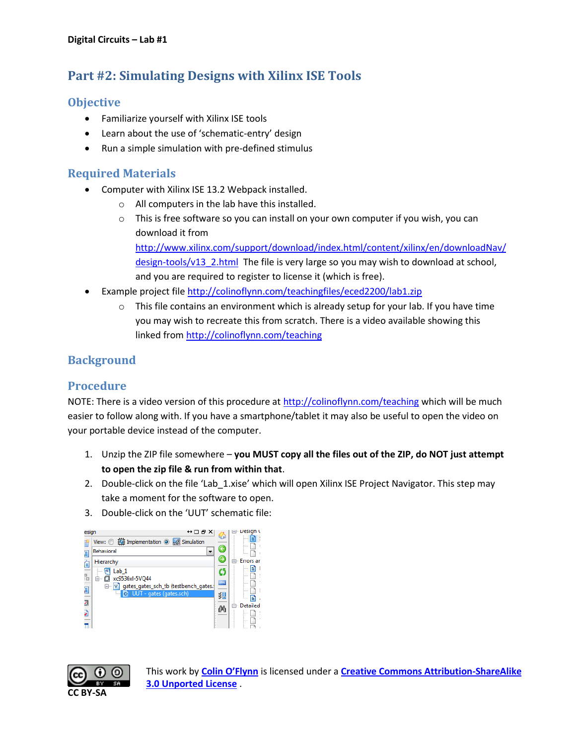# **Part #2: Simulating Designs with Xilinx ISE Tools**

# **Objective**

- Familiarize yourself with Xilinx ISE tools
- Learn about the use of 'schematic-entry' design
- Run a simple simulation with pre-defined stimulus

## **Required Materials**

- Computer with Xilinx ISE 13.2 Webpack installed.
	- o All computers in the lab have this installed.
	- $\circ$  This is free software so you can install on your own computer if you wish, you can download it from

[http://www.xilinx.com/support/download/index.html/content/xilinx/en/downloadNav/](http://www.xilinx.com/support/download/index.html/content/xilinx/en/downloadNav/design-tools/v13_2.html) [design-tools/v13\\_2.html](http://www.xilinx.com/support/download/index.html/content/xilinx/en/downloadNav/design-tools/v13_2.html) The file is very large so you may wish to download at school, and you are required to register to license it (which is free).

- Example project file<http://colinoflynn.com/teachingfiles/eced2200/lab1.zip>
	- $\circ$  This file contains an environment which is already setup for your lab. If you have time you may wish to recreate this from scratch. There is a video available showing this linked from<http://colinoflynn.com/teaching>

# **Background**

## **Procedure**

NOTE: There is a video version of this procedure at<http://colinoflynn.com/teaching> which will be much easier to follow along with. If you have a smartphone/tablet it may also be useful to open the video on your portable device instead of the computer.

- 1. Unzip the ZIP file somewhere **you MUST copy all the files out of the ZIP, do NOT just attempt to open the zip file & run from within that**.
- 2. Double-click on the file 'Lab 1.xise' which will open Xilinx ISE Project Navigator. This step may take a moment for the software to open.
- 3. Double-click on the 'UUT' schematic file:



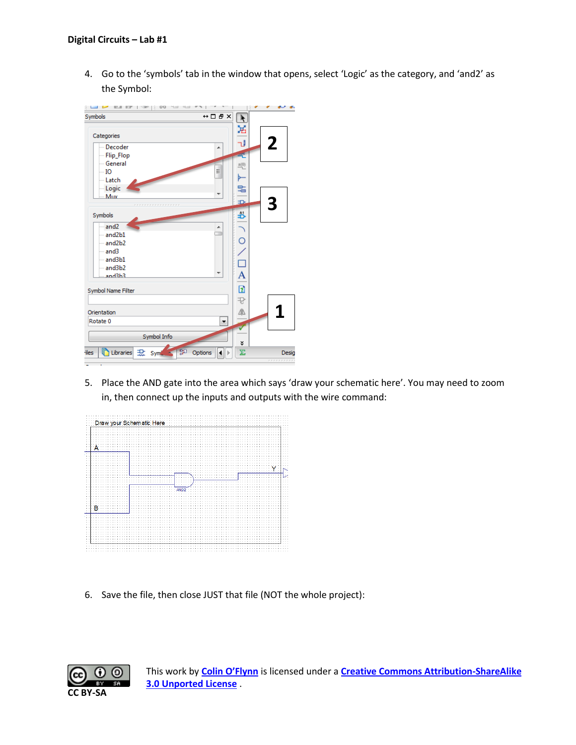4. Go to the 'symbols' tab in the window that opens, select 'Logic' as the category, and 'and2' as the Symbol:



5. Place the AND gate into the area which says 'draw your schematic here'. You may need to zoom in, then connect up the inputs and outputs with the wire command:



6. Save the file, then close JUST that file (NOT the whole project):

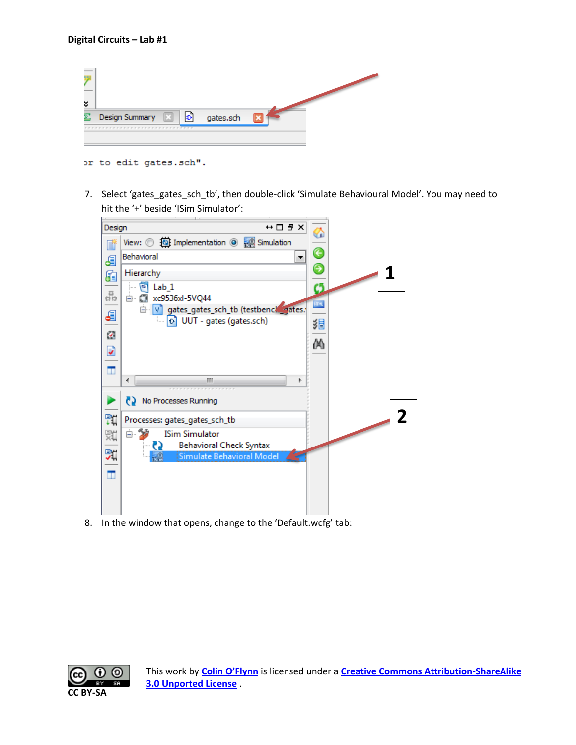| × |                |   |   |           |  |
|---|----------------|---|---|-----------|--|
|   | Design Summary | ⊡ | Ð | gates.sch |  |
|   |                |   |   |           |  |

or to edit gates.sch".

7. Select 'gates\_gates\_sch\_tb', then double-click 'Simulate Behavioural Model'. You may need to hit the '+' beside 'ISim Simulator':



8. In the window that opens, change to the 'Default.wcfg' tab:

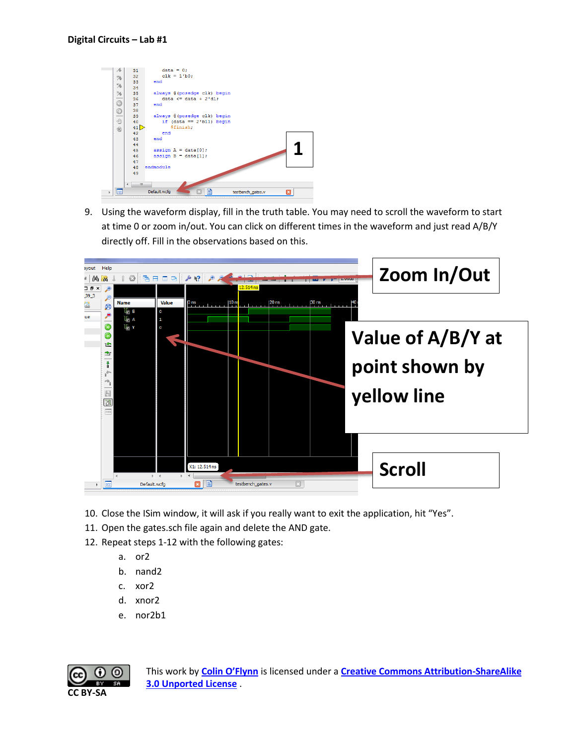

9. Using the waveform display, fill in the truth table. You may need to scroll the waveform to start at time 0 or zoom in/out. You can click on different times in the waveform and just read A/B/Y directly off. Fill in the observations based on this.



- 10. Close the ISim window, it will ask if you really want to exit the application, hit "Yes".
- 11. Open the gates.sch file again and delete the AND gate.
- 12. Repeat steps 1-12 with the following gates:
	- a. or2
	- b. nand2
	- c. xor2
	- d. xnor2
	- e. nor2b1

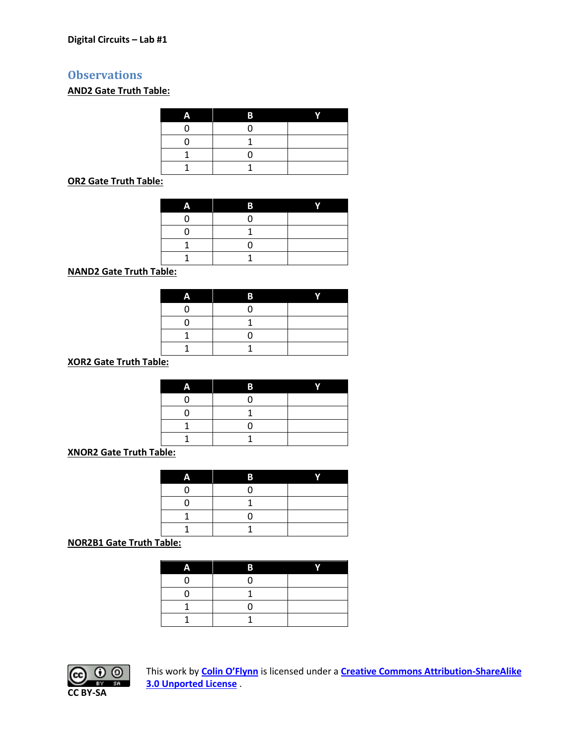## **Observations**

## **AND2 Gate Truth Table:**

| D) |  |
|----|--|
|    |  |
|    |  |
|    |  |
|    |  |

**OR2 Gate Truth Table:**

|     | B |  |
|-----|---|--|
|     |   |  |
|     |   |  |
|     |   |  |
|     |   |  |
| . . |   |  |

**NAND2 Gate Truth Table:**

| × |  |
|---|--|
|   |  |
|   |  |
|   |  |
|   |  |

**XOR2 Gate Truth Table:**

| т |  |
|---|--|
|   |  |
|   |  |
|   |  |
|   |  |

**XNOR2 Gate Truth Table:**

| ٠ |  |
|---|--|
|   |  |
|   |  |
|   |  |
|   |  |

**NOR2B1 Gate Truth Table:**

| B |  |
|---|--|
|   |  |
|   |  |
|   |  |
|   |  |